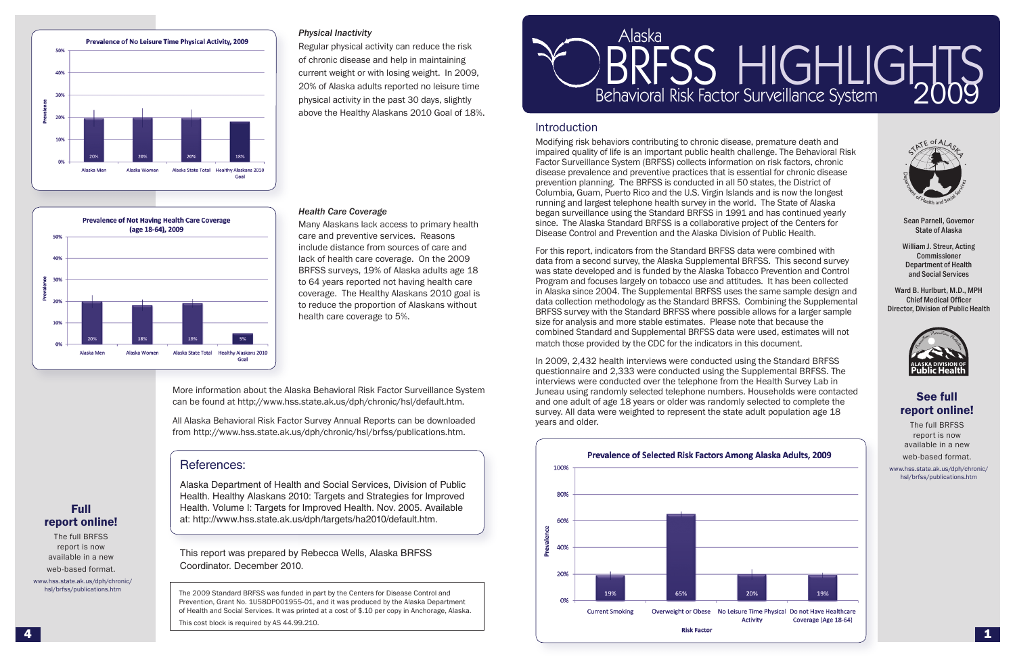

**Prevalence of Not Having Health Care Coverage** (age 18-64), 2009

Alaska Women

# Introduction

Modifying risk behaviors contributing to chronic disease, premature death and impaired quality of life is an important public health challenge. The Behavioral Risk Factor Surveillance System (BRFSS) collects information on risk factors, chronic disease prevalence and preventive practices that is essential for chronic disease prevention planning. The BRFSS is conducted in all 50 states, the District of Columbia, Guam, Puerto Rico and the U.S. Virgin Islands and is now the longest running and largest telephone health survey in the world. The State of Alaska began surveillance using the Standard BRFSS in 1991 and has continued yearly since. The Alaska Standard BRFSS is a collaborative project of the Centers for Disease Control and Prevention and the Alaska Division of Public Health.

For this report, indicators from the Standard BRFSS data were combined with data from a second survey, the Alaska Supplemental BRFSS. This second survey was state developed and is funded by the Alaska Tobacco Prevention and Control Program and focuses largely on tobacco use and attitudes. It has been collected in Alaska since 2004. The Supplemental BRFSS uses the same sample design and data collection methodology as the Standard BRFSS. Combining the Supplemental BRFSS survey with the Standard BRFSS where possible allows for a larger sample size for analysis and more stable estimates. Please note that because the combined Standard and Supplemental BRFSS data were used, estimates will not match those provided by the CDC for the indicators in this document.

In 2009, 2,432 health interviews were conducted using the Standard BRFSS questionnaire and 2,333 were conducted using the Supplemental BRFSS. The interviews were conducted over the telephone from the Health Survey Lab in Juneau using randomly selected telephone numbers. Households were contacted and one adult of age 18 years or older was randomly selected to complete the survey. All data were weighted to represent the state adult population age 18 years and older.





Sean Parnell, Governor State of Alaska

William J. Streur, Acting Commissioner Department of Health and Social Services

Ward B. Hurlburt, M.D., MPH Chief Medical Officer Director, Division of Public Health



# See full report online!

The full BRFSS report is now available in a new web-based format.

www.hss.state.ak.us/dph/chronic/ hsl/brfss/publications.htm

## *Physical Inactivity*

Regular physical activity can reduce the risk of chronic disease and help in maintaining current weight or with losing weight. In 2009, 20% of Alaska adults reported no leisure time physical activity in the past 30 days, slightly above the Healthy Alaskans 2010 Goal of 18%.

## *Health Care Coverage*

Many Alaskans lack access to primary health care and preventive services. Reasons include distance from sources of care and lack of health care coverage. On the 2009 BRFSS surveys, 19% of Alaska adults age 18 to 64 years reported not having health care coverage. The Healthy Alaskans 2010 goal is to reduce the proportion of Alaskans without health care coverage to 5%.

More information about the Alaska Behavioral Risk Factor Surveillance System can be found at http://www.hss.state.ak.us/dph/chronic/hsl/default.htm.

All Alaska Behavioral Risk Factor Survey Annual Reports can be downloaded from http://www.hss.state.ak.us/dph/chronic/hsl/brfss/publications.htm.

# References:

5%

Goal

Alaska State Total Healthy Alaskans 2010

Alaska Department of Health and Social Services, Division of Public Health. Healthy Alaskans 2010: Targets and Strategies for Improved Health. Volume I: Targets for Improved Health. Nov. 2005. Available at: http://www.hss.state.ak.us/dph/targets/ha2010/default.htm.

This report was prepared by Rebecca Wells, Alaska BRFSS Coordinator. December 2010.

The 2009 Standard BRFSS was funded in part by the Centers for Disease Control and Prevention, Grant No. 1U58DP001955-01, and it was produced by the Alaska Department of Health and Social Services. It was printed at a cost of \$.10 per copy in Anchorage, Alaska.

This cost block is required by AS 44.99.210.

#### BRFSS HIGHLIGHTS Al R ask or FS<br>ral Dick a ehavioral Risk F S actor S  $\prod_{\text{max}}$ urv IG<br>illand eillanc  $\prod_{\infty}$ e Sys  $\overline{\mathsf{L}}$ te ig m **HTS**

# Full report online!

Alaska Men

50%

409

309

10%

The full BRFSS report is now available in a new web-based format.

www.hss.state.ak.us/dph/chronic/ hsl/brfss/publications.htm